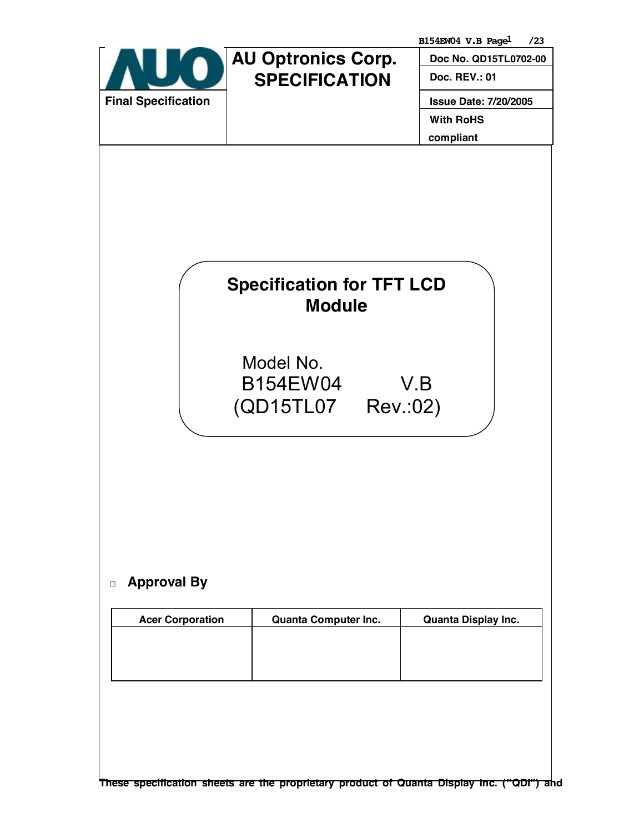|                            |                                                                                                  | B154EW04 V.B Pagel<br>/23    |
|----------------------------|--------------------------------------------------------------------------------------------------|------------------------------|
|                            | <b>AU Optronics Corp.</b>                                                                        | Doc No. QD15TL0702-00        |
|                            | <b>SPECIFICATION</b>                                                                             | Doc. REV.: 01                |
| <b>Final Specification</b> |                                                                                                  | <b>Issue Date: 7/20/2005</b> |
|                            |                                                                                                  | <b>With RoHS</b>             |
|                            |                                                                                                  | compliant                    |
| <b>Approval By</b>         | <b>Specification for TFT LCD</b><br><b>Module</b><br>Model No.<br>B154EW04<br>(QD15TL07 Rev.:02) | V.B                          |
|                            | <b>Quanta Computer Inc.</b>                                                                      | Quanta Display Inc.          |
| <b>Acer Corporation</b>    |                                                                                                  |                              |
|                            |                                                                                                  |                              |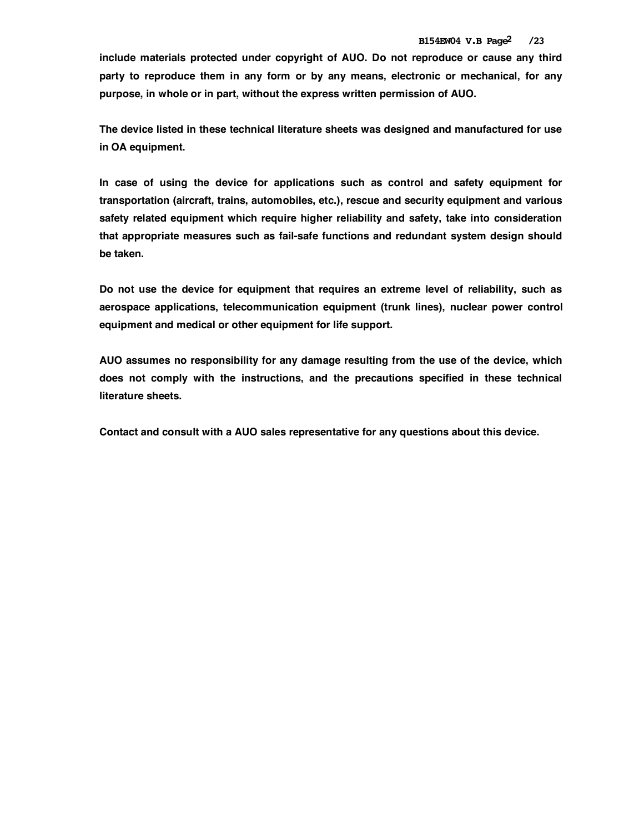**include materials protected under copyright of AUO. Do not reproduce or cause any third party to reproduce them in any form or by any means, electronic or mechanical, for any purpose, in whole or in part, without the express written permission of AUO.** 

**The device listed in these technical literature sheets was designed and manufactured for use in OA equipment.** 

**In case of using the device for applications such as control and safety equipment for transportation (aircraft, trains, automobiles, etc.), rescue and security equipment and various safety related equipment which require higher reliability and safety, take into consideration that appropriate measures such as fail-safe functions and redundant system design should be taken.** 

**Do not use the device for equipment that requires an extreme level of reliability, such as aerospace applications, telecommunication equipment (trunk lines), nuclear power control equipment and medical or other equipment for life support.** 

**AUO assumes no responsibility for any damage resulting from the use of the device, which does not comply with the instructions, and the precautions specified in these technical literature sheets.** 

**Contact and consult with a AUO sales representative for any questions about this device.**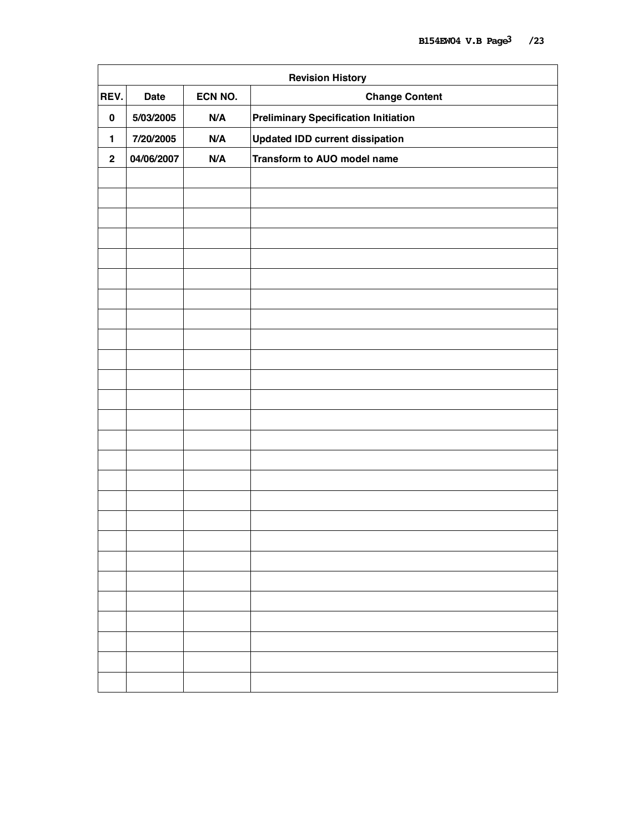| <b>Revision History</b> |             |         |                                             |  |  |  |  |  |  |
|-------------------------|-------------|---------|---------------------------------------------|--|--|--|--|--|--|
| REV.                    | <b>Date</b> | ECN NO. | <b>Change Content</b>                       |  |  |  |  |  |  |
| $\pmb{0}$               | 5/03/2005   | N/A     | <b>Preliminary Specification Initiation</b> |  |  |  |  |  |  |
| 1                       | 7/20/2005   | N/A     | <b>Updated IDD current dissipation</b>      |  |  |  |  |  |  |
| $\mathbf 2$             | 04/06/2007  | N/A     | Transform to AUO model name                 |  |  |  |  |  |  |
|                         |             |         |                                             |  |  |  |  |  |  |
|                         |             |         |                                             |  |  |  |  |  |  |
|                         |             |         |                                             |  |  |  |  |  |  |
|                         |             |         |                                             |  |  |  |  |  |  |
|                         |             |         |                                             |  |  |  |  |  |  |
|                         |             |         |                                             |  |  |  |  |  |  |
|                         |             |         |                                             |  |  |  |  |  |  |
|                         |             |         |                                             |  |  |  |  |  |  |
|                         |             |         |                                             |  |  |  |  |  |  |
|                         |             |         |                                             |  |  |  |  |  |  |
|                         |             |         |                                             |  |  |  |  |  |  |
|                         |             |         |                                             |  |  |  |  |  |  |
|                         |             |         |                                             |  |  |  |  |  |  |
|                         |             |         |                                             |  |  |  |  |  |  |
|                         |             |         |                                             |  |  |  |  |  |  |
|                         |             |         |                                             |  |  |  |  |  |  |
|                         |             |         |                                             |  |  |  |  |  |  |
|                         |             |         |                                             |  |  |  |  |  |  |
|                         |             |         |                                             |  |  |  |  |  |  |
|                         |             |         |                                             |  |  |  |  |  |  |
|                         |             |         |                                             |  |  |  |  |  |  |
|                         |             |         |                                             |  |  |  |  |  |  |
|                         |             |         |                                             |  |  |  |  |  |  |
|                         |             |         |                                             |  |  |  |  |  |  |
|                         |             |         |                                             |  |  |  |  |  |  |
|                         |             |         |                                             |  |  |  |  |  |  |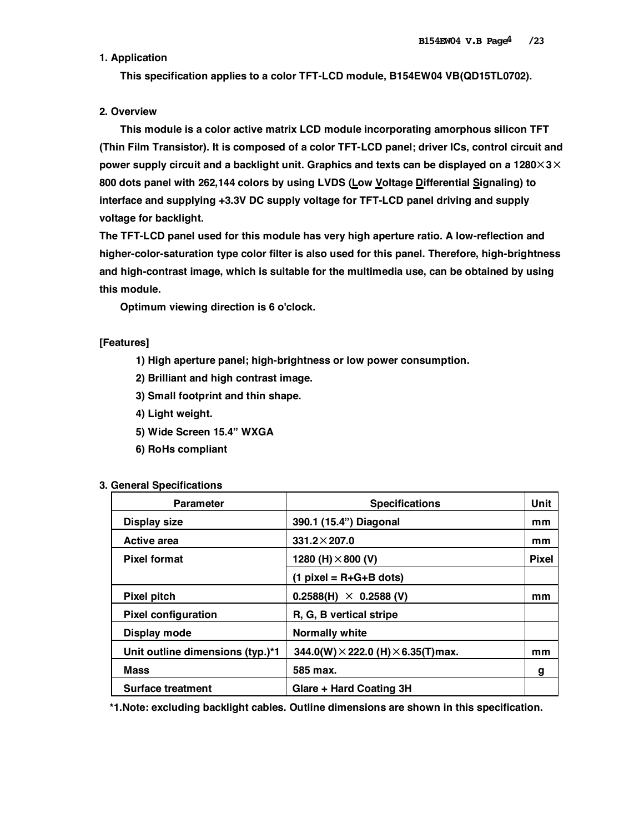# **1. Application**

 **This specification applies to a color TFT-LCD module, B154EW04 VB(QD15TL0702).** 

## **2. Overview**

 **This module is a color active matrix LCD module incorporating amorphous silicon TFT (Thin Film Transistor). It is composed of a color TFT-LCD panel; driver ICs, control circuit and power supply circuit and a backlight unit. Graphics and texts can be displayed on a 1280**×**3**× **800 dots panel with 262,144 colors by using LVDS (Low Voltage Differential Signaling) to interface and supplying +3.3V DC supply voltage for TFT-LCD panel driving and supply voltage for backlight.** 

**The TFT-LCD panel used for this module has very high aperture ratio. A low-reflection and higher-color-saturation type color filter is also used for this panel. Therefore, high-brightness and high-contrast image, which is suitable for the multimedia use, can be obtained by using this module.** 

 **Optimum viewing direction is 6 o'clock.** 

## **[Features]**

- **1) High aperture panel; high-brightness or low power consumption.**
- **2) Brilliant and high contrast image.**
- **3) Small footprint and thin shape.**
- **4) Light weight.**
- **5) Wide Screen 15.4" WXGA**
- **6) RoHs compliant**

|  | 3. General Specifications |
|--|---------------------------|
|--|---------------------------|

| <b>Parameter</b>                 | <b>Specifications</b>                             | Unit         |
|----------------------------------|---------------------------------------------------|--------------|
| <b>Display size</b>              | 390.1 (15.4") Diagonal                            | mm           |
| Active area                      | $331.2 \times 207.0$                              | mm           |
| <b>Pixel format</b>              | 1280 (H) $\times$ 800 (V)                         | <b>Pixel</b> |
|                                  | (1 pixel = R+G+B dots)                            |              |
| <b>Pixel pitch</b>               | $0.2588(H) \times 0.2588(V)$                      | mm           |
| <b>Pixel configuration</b>       | R, G, B vertical stripe                           |              |
| Display mode                     | <b>Normally white</b>                             |              |
| Unit outline dimensions (typ.)*1 | 344.0(W) $\times$ 222.0 (H) $\times$ 6.35(T) max. | mm           |
| Mass                             | 585 max.                                          | g            |
| Surface treatment                | Glare + Hard Coating 3H                           |              |

**\*1.Note: excluding backlight cables. Outline dimensions are shown in this specification.**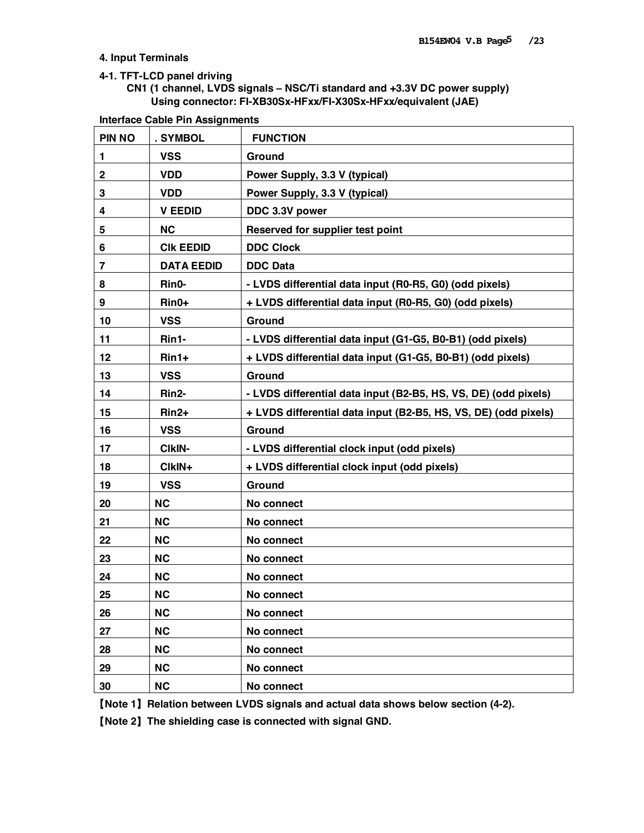### **4. Input Terminals**

### **4-1. TFT-LCD panel driving**

# **CN1 (1 channel, LVDS signals – NSC/Ti standard and +3.3V DC power supply) Using connector: FI-XB30Sx-HFxx/FI-X30Sx-HFxx/equivalent (JAE)**

| <b>Interface Cable Pin Assignments</b> |  |  |
|----------------------------------------|--|--|
|                                        |  |  |

| <b>PIN NO</b> | . SYMBOL          | <b>FUNCTION</b>                                                 |
|---------------|-------------------|-----------------------------------------------------------------|
| 1             | <b>VSS</b>        | Ground                                                          |
| $\mathbf 2$   | <b>VDD</b>        | Power Supply, 3.3 V (typical)                                   |
| 3             | <b>VDD</b>        | Power Supply, 3.3 V (typical)                                   |
| 4             | <b>V EEDID</b>    | DDC 3.3V power                                                  |
| 5             | <b>NC</b>         | Reserved for supplier test point                                |
| 6             | <b>CIK EEDID</b>  | <b>DDC Clock</b>                                                |
| 7             | <b>DATA EEDID</b> | <b>DDC Data</b>                                                 |
| 8             | Rin0-             | - LVDS differential data input (R0-R5, G0) (odd pixels)         |
| 9             | Rin0+             | + LVDS differential data input (R0-R5, G0) (odd pixels)         |
| 10            | <b>VSS</b>        | Ground                                                          |
| 11            | Rin1-             | - LVDS differential data input (G1-G5, B0-B1) (odd pixels)      |
| 12            | Rin1+             | + LVDS differential data input (G1-G5, B0-B1) (odd pixels)      |
| 13            | <b>VSS</b>        | Ground                                                          |
| 14            | Rin2-             | - LVDS differential data input (B2-B5, HS, VS, DE) (odd pixels) |
| 15            | Rin2+             | + LVDS differential data input (B2-B5, HS, VS, DE) (odd pixels) |
| 16            | <b>VSS</b>        | Ground                                                          |
| 17            | CIkIN-            | - LVDS differential clock input (odd pixels)                    |
| 18            | CIkIN+            | + LVDS differential clock input (odd pixels)                    |
| 19            | <b>VSS</b>        | Ground                                                          |
| 20            | <b>NC</b>         | No connect                                                      |
| 21            | <b>NC</b>         | No connect                                                      |
| 22            | <b>NC</b>         | No connect                                                      |
| 23            | <b>NC</b>         | No connect                                                      |
| 24            | <b>NC</b>         | No connect                                                      |
| 25            | <b>NC</b>         | No connect                                                      |
| 26            | NC                | No connect                                                      |
| 27            | <b>NC</b>         | No connect                                                      |
| 28            | NC                | No connect                                                      |
| 29            | NC                | No connect                                                      |
| 30            | <b>NC</b>         | No connect                                                      |

【**Note 1**】**Relation between LVDS signals and actual data shows below section (4-2).** 

【**Note 2**】**The shielding case is connected with signal GND.**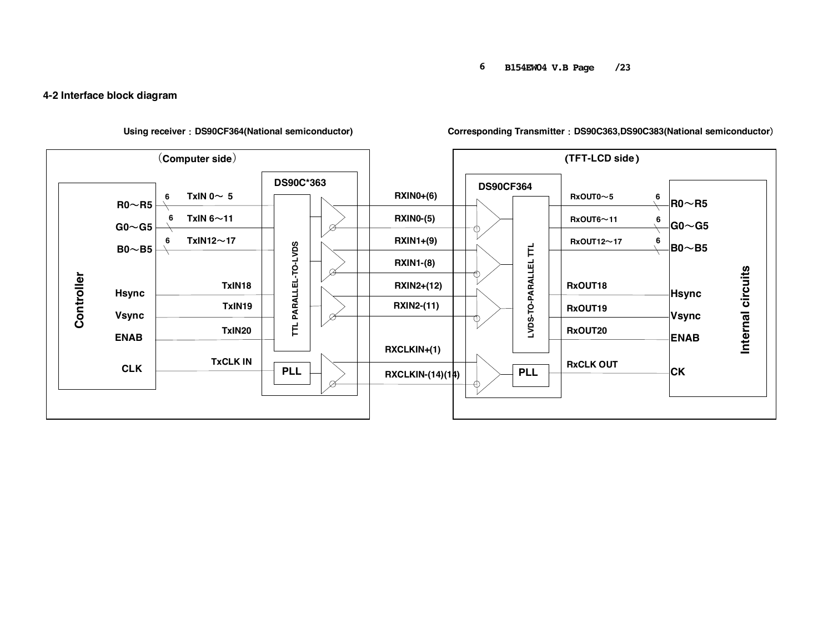#### **6 B154EW04 V.B Page /23**

# **4-2 Interface block diagram**



**Using receiver**:**DS90CF364(National semiconductor) Corresponding Transmitter**:**DS90C363,DS90C383(National semiconductor**)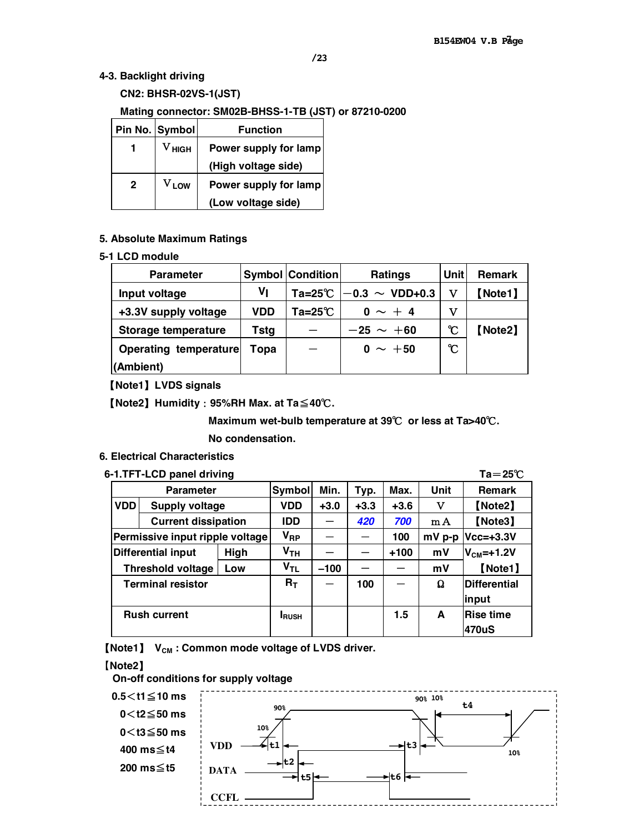# **4-3. Backlight driving**

 **CN2: BHSR-02VS-1(JST)** 

### **Mating connector: SM02B-BHSS-1-TB (JST) or 87210-0200**

|   | Pin No. Symbol        | <b>Function</b>       |
|---|-----------------------|-----------------------|
|   | ${\rm v}_{\rm{HIGH}}$ | Power supply for lamp |
|   |                       | (High voltage side)   |
| 2 | $V_{LOW}$             | Power supply for lamp |
|   |                       | (Low voltage side)    |

## **5. Absolute Maximum Ratings**

#### **5-1 LCD module**

| <b>Parameter</b>      | <b>Symbol Condition</b><br><b>Ratings</b> |            |                              |                | <b>Remark</b> |
|-----------------------|-------------------------------------------|------------|------------------------------|----------------|---------------|
| Input voltage         | ۷ı                                        |            | Ta=25°C $ -0.3 \sim$ VDD+0.3 | v              | 【Note1】       |
| +3.3V supply voltage  | <b>VDD</b>                                | Ta=25 $°C$ | $0 \sim +4$                  | v              |               |
| Storage temperature   | Tstg                                      |            | $-25 \sim +60$               | °C             | [Note2]       |
| Operating temperature | Topa                                      |            | $0 \sim +50$                 | $\mathfrak{C}$ |               |
| (Ambient)             |                                           |            |                              |                |               |

【**Note1**】**LVDS signals** 

【**Note2**】**Humidity**:**95%RH Max. at Ta**≦**40**℃**.** 

 **Maximum wet-bulb temperature at 39**℃ **or less at Ta>40**℃**.** 

 **No condensation.** 

# **6. Electrical Characteristics**

# **6-1.TFT-LCD panel driving Ta**=**25**℃

|                                   | <b>Parameter</b>                |                 | Symbol                         | Min.   | Typ.   | Max.     | Unit      | <b>Remark</b>       |  |  |  |
|-----------------------------------|---------------------------------|-----------------|--------------------------------|--------|--------|----------|-----------|---------------------|--|--|--|
| <b>VDD</b>                        | <b>Supply voltage</b>           |                 | <b>VDD</b>                     | $+3.0$ | $+3.3$ | $+3.6$   | v         | [Note2]             |  |  |  |
| <b>Current dissipation</b>        |                                 |                 | IDD                            |        | 420    | 700      | mA        | [Note3]             |  |  |  |
|                                   | Permissive input ripple voltage | V <sub>RP</sub> |                                |        | 100    | $mV$ p-p | Vcc=+3.3V |                     |  |  |  |
| <b>Differential input</b><br>High |                                 |                 | Υ <sub>тн</sub>                |        |        | $+100$   | mV        | $V_{CM} = +1.2V$    |  |  |  |
|                                   | <b>Threshold voltage</b>        | Low             | $\mathsf{v}_{\mathsf{\tau L}}$ | $-100$ |        |          | mV        | 【Note1】             |  |  |  |
|                                   | <b>Terminal resistor</b>        |                 | $R_T$                          |        | 100    |          | Ω         | <b>Differential</b> |  |  |  |
|                                   |                                 |                 |                                |        |        |          |           | input               |  |  |  |
| <b>Rush current</b>               |                                 |                 | <b>I</b> RUSH                  |        |        | 1.5      | A         | <b>Rise time</b>    |  |  |  |
|                                   |                                 |                 |                                |        |        |          |           | 470uS               |  |  |  |

**(Note1)**  $V_{CM}$  **: Common mode voltage of LVDS driver.** 

#### 【**Note2**】

**On-off conditions for supply voltage** 

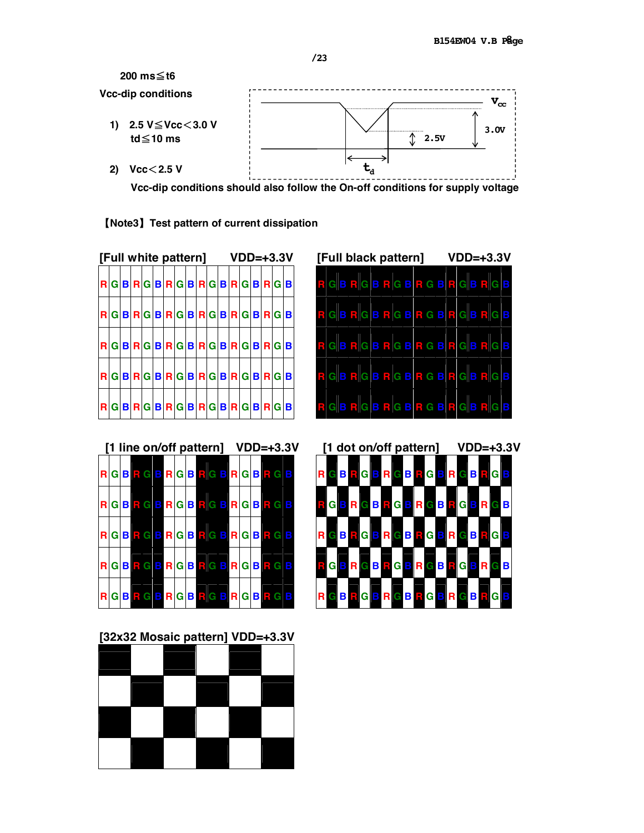

【**Note3**】**Test pattern of current dissipation**

| [Full white pattern] |                       |  |  |  |  |  |  |  | $VDD=+3.3V$ |  |                                      |  |  | [Full b |       |   |
|----------------------|-----------------------|--|--|--|--|--|--|--|-------------|--|--------------------------------------|--|--|---------|-------|---|
|                      | RGBRGBRGBRGBRGBRGBRGB |  |  |  |  |  |  |  |             |  |                                      |  |  |         | RGB   |   |
|                      | RGBRGBRGBRGBRGBRGB    |  |  |  |  |  |  |  |             |  |                                      |  |  |         | R G B |   |
| R.                   |                       |  |  |  |  |  |  |  |             |  | GBRGBRGBRGBRGBRGBRGB                 |  |  |         | RGB   |   |
|                      | RGBRGBRGBRGBRGBRGBRGB |  |  |  |  |  |  |  |             |  |                                      |  |  |         | RGB   |   |
| <b>R</b>             |                       |  |  |  |  |  |  |  |             |  | $G B R G B R G B R G B R G B R G B $ |  |  |         | E.    | в |



**[1 line on/off pattern] VDD=+3.3V [1 dot on/off pattern] VDD=+3.3V R G B R G B R G B R G B R G B R G B R G B R G B R G B R G B R G B R G B R G B R G B R G B R G B R G B R G B R G B R G B R G B R G B R G B R G B R G B R G B R G B R G B R G B R G B R G B R G B R G B R G B R G B R G B R G B R G B R G B R G B R G B R G B R G B R G B R G B R G B R G B R G B R G B R G B R G B R G B R G B R G B R G B R G B R G B R G B R G B R G B**

**[32x32 Mosaic pattern] VDD=+3.3V**

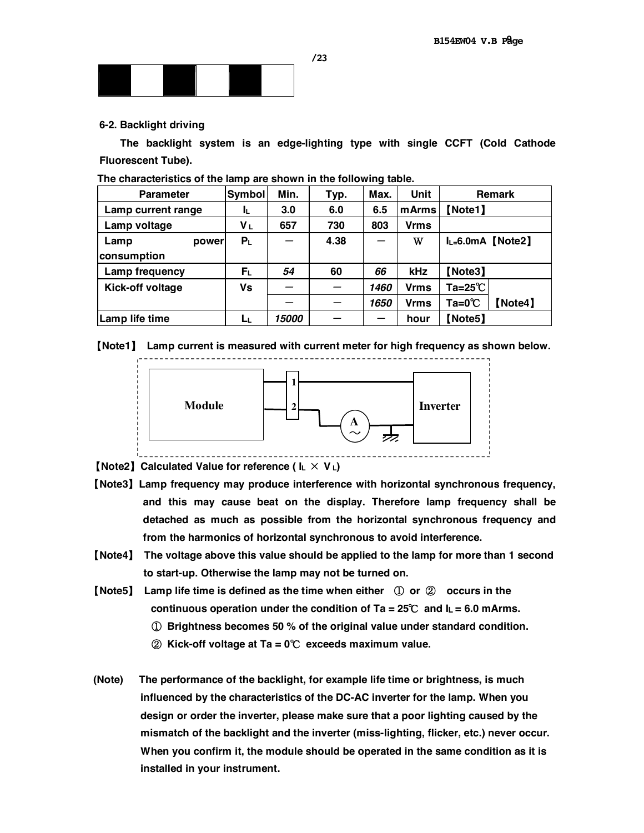

#### **6-2. Backlight driving**

 **The backlight system is an edge-lighting type with single CCFT (Cold Cathode Fluorescent Tube).** 

| <b>Parameter</b>   | <b>Symbol</b>  | Min.                | Typ. | Max. | <b>Unit</b> | <b>Remark</b>              |
|--------------------|----------------|---------------------|------|------|-------------|----------------------------|
| Lamp current range | ΙL             | 3.0                 | 6.0  | 6.5  | mArms       | [Note1]                    |
| Lamp voltage       | Vι             | 657                 | 730  | 803  | <b>Vrms</b> |                            |
| Lamp<br>power      | P <sub>L</sub> |                     | 4.38 | —    | W           | $I_{L=6.0mA}$ [Note2]      |
| consumption        |                |                     |      |      |             |                            |
| Lamp frequency     | $F_L$          | 54                  | 60   | 66   | kHz         | Note3                      |
| Kick-off voltage   | Vs             |                     |      | 1460 | <b>Vrms</b> | Ta=25 $\degree$ C          |
|                    |                |                     |      | 1650 | <b>Vrms</b> | $Ta=0^{\circ}C$<br>[Note4] |
| Lamp life time     | Lμ             | <i><b>15000</b></i> |      |      | hour        | Note5                      |

**The characteristics of the lamp are shown in the following table.** 





【**Note2**】**Calculated Value for reference ( IL** × **V L)**

- 【**Note3**】**Lamp frequency may produce interference with horizontal synchronous frequency, and this may cause beat on the display. Therefore lamp frequency shall be detached as much as possible from the horizontal synchronous frequency and from the harmonics of horizontal synchronous to avoid interference.**
- 【**Note4**】 **The voltage above this value should be applied to the lamp for more than 1 second to start-up. Otherwise the lamp may not be turned on.**
- 【**Note5**】 **Lamp life time is defined as the time when either** ① **or** ② **occurs in the continuous operation under the condition of Ta = 25**℃ **and IL = 6.0 mArms.** 
	- ① **Brightness becomes 50 % of the original value under standard condition.**
	- ② **Kick-off voltage at Ta = 0**℃ **exceeds maximum value.**
- **(Note) The performance of the backlight, for example life time or brightness, is much influenced by the characteristics of the DC-AC inverter for the lamp. When you design or order the inverter, please make sure that a poor lighting caused by the mismatch of the backlight and the inverter (miss-lighting, flicker, etc.) never occur. When you confirm it, the module should be operated in the same condition as it is installed in your instrument.**

**/23**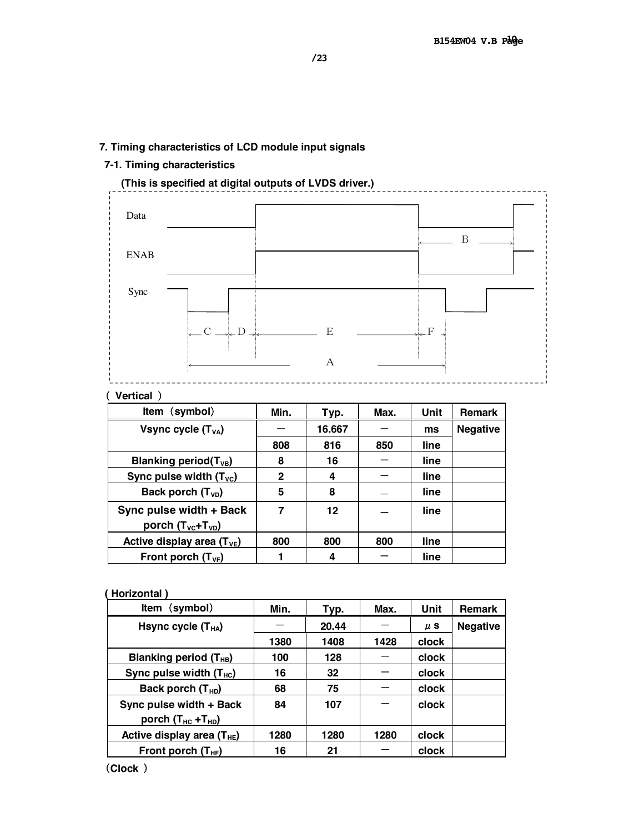# **7. Timing characteristics of LCD module input signals**

# **7-1. Timing characteristics**



# ( **Vertical** )

| Item (symbol)                         | Min. | Typ.   | Max. | Unit | <b>Remark</b>   |
|---------------------------------------|------|--------|------|------|-----------------|
| Vsync cycle $(T_{VA})$                |      | 16.667 |      | ms   | <b>Negative</b> |
|                                       | 808  | 816    | 850  | line |                 |
| Blanking period( $T_{VB}$ )           | 8    | 16     |      | line |                 |
| Sync pulse width $(T_{\text{VC}})$    | 2    | 4      |      | line |                 |
| Back porch $(T_{VD})$                 | 5    | 8      |      | line |                 |
| Sync pulse width + Back               | 7    | 12     |      | line |                 |
| porch $(T_{\text{VC}}+T_{\text{VD}})$ |      |        |      |      |                 |
| Active display area $(T_{VE})$        | 800  | 800    | 800  | line |                 |
| Front porch $(T_{VF})$                |      | 4      |      | line |                 |

## **( Horizontal )**

| Item (symbol)                  | Min. | Typ.  | Max. | Unit         | <b>Remark</b>   |
|--------------------------------|------|-------|------|--------------|-----------------|
| Hsync cycle $(T_{HA})$         |      | 20.44 |      | $\mu$ S      | <b>Negative</b> |
|                                | 1380 | 1408  | 1428 | clock        |                 |
| Blanking period $(T_{HB})$     | 100  | 128   |      | <b>clock</b> |                 |
| Sync pulse width $(T_{HC})$    | 16   | 32    |      | clock        |                 |
| Back porch $(T_{HD})$          | 68   | 75    |      | clock        |                 |
| Sync pulse width + Back        | 84   | 107   |      | clock        |                 |
| porch $(T_{HC} + T_{HD})$      |      |       |      |              |                 |
| Active display area $(T_{HE})$ | 1280 | 1280  | 1280 | clock        |                 |
| Front porch $(T_{HF})$         | 16   | 21    |      | clock        |                 |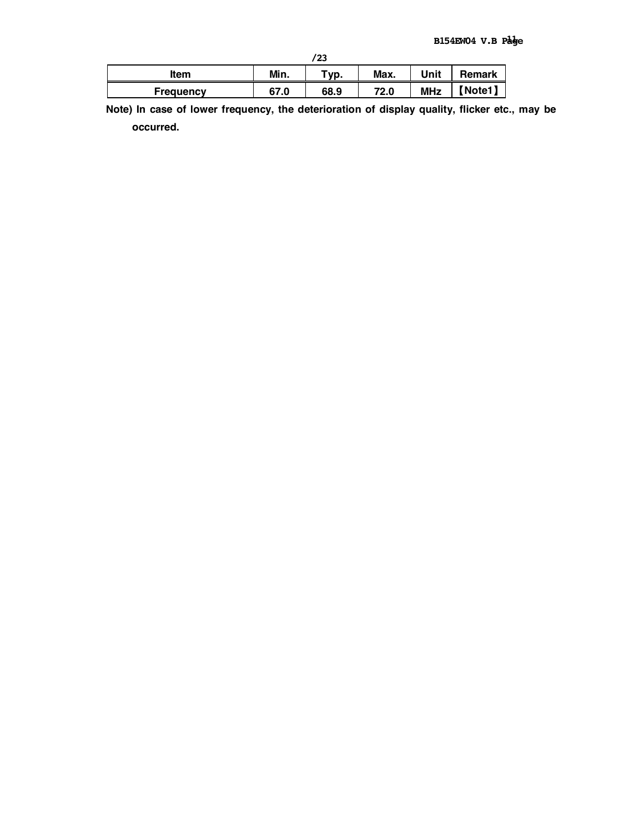|                  |      | /23              |      |            |        |
|------------------|------|------------------|------|------------|--------|
| <b>Item</b>      | Min. | $\mathsf{v}$ vp. | Max. | Unit       | Remark |
| <b>Frequency</b> | 67.0 | 68.9             | 72.0 | <b>MHz</b> | Vote1) |

**Note) In case of lower frequency, the deterioration of display quality, flicker etc., may be occurred.**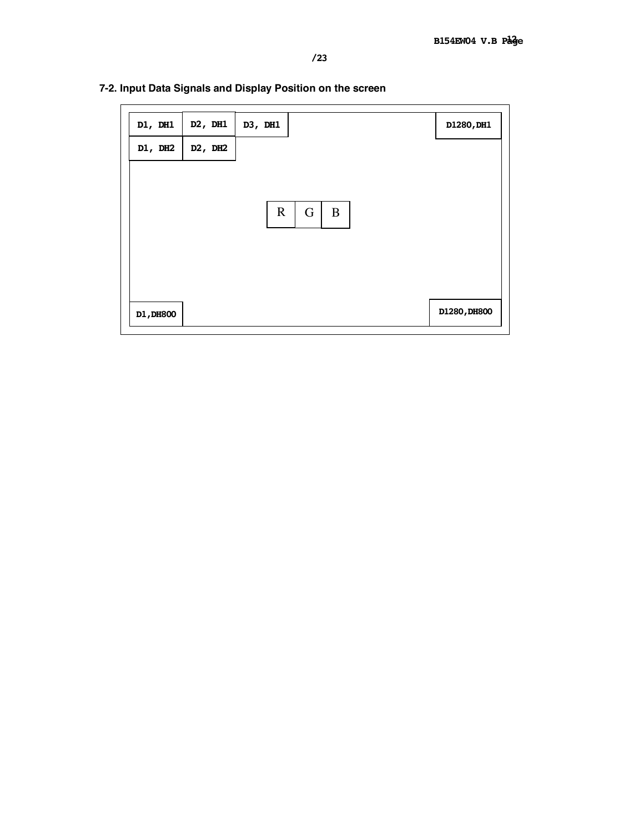| D1, DH1   | D2, DH1                          | D3, DH1     |        | D1280, DH1   |
|-----------|----------------------------------|-------------|--------|--------------|
| DI, DH2   | D <sub>2</sub> , DH <sub>2</sub> |             |        |              |
|           |                                  |             |        |              |
|           |                                  | $\mathbf R$ | G<br>B |              |
|           |                                  |             |        |              |
|           |                                  |             |        |              |
|           |                                  |             |        |              |
| D1, DH800 |                                  |             |        | D1280, DH800 |

# **7-2. Input Data Signals and Display Position on the screen**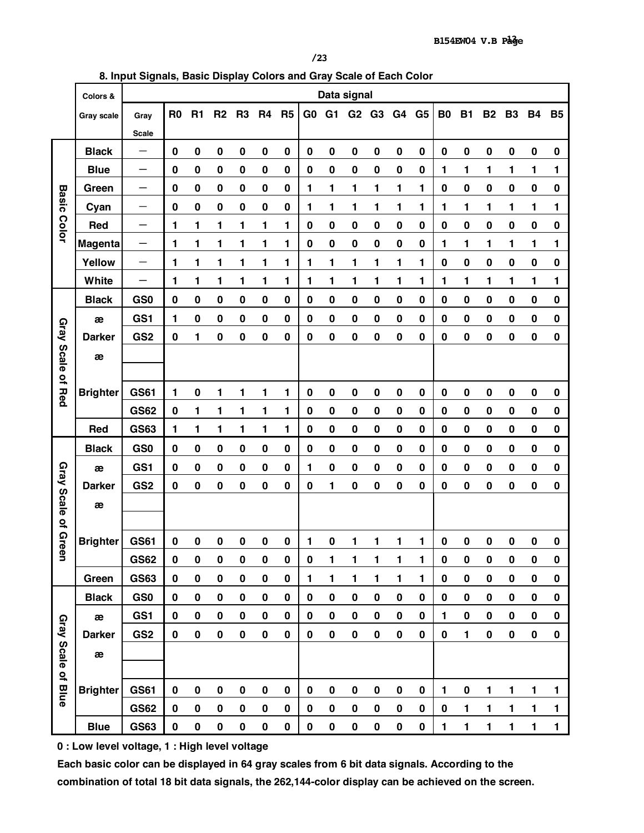**8. Input Signals, Basic Display Colors and Gray Scale of Each Color** 

|                     | Colors &        |                          | Data signal    |             |                |                |                |                |                |                |             |                |             |                |             |             |             |              |           |             |
|---------------------|-----------------|--------------------------|----------------|-------------|----------------|----------------|----------------|----------------|----------------|----------------|-------------|----------------|-------------|----------------|-------------|-------------|-------------|--------------|-----------|-------------|
|                     | Gray scale      | Gray                     | R <sub>0</sub> | R1          | R <sub>2</sub> | R <sub>3</sub> | R <sub>4</sub> | R <sub>5</sub> | G <sub>0</sub> | G <sub>1</sub> | G2          | G <sub>3</sub> | G4          | G <sub>5</sub> | <b>B0</b>   | <b>B1</b>   | <b>B2</b>   | <b>B3</b>    | <b>B4</b> | <b>B5</b>   |
|                     |                 | <b>Scale</b>             |                |             |                |                |                |                |                |                |             |                |             |                |             |             |             |              |           |             |
|                     | <b>Black</b>    | —                        | $\mathbf 0$    | $\mathbf 0$ | $\mathbf 0$    | $\bf{0}$       | $\pmb{0}$      | $\mathbf 0$    | $\pmb{0}$      | $\bf{0}$       | $\bf{0}$    | $\pmb{0}$      | $\bf{0}$    | $\mathbf 0$    | $\pmb{0}$   | $\bf{0}$    | 0           | $\bf{0}$     | $\bf{0}$  | $\bf{0}$    |
|                     | <b>Blue</b>     | $\overline{\phantom{0}}$ | $\bf{0}$       | $\mathbf 0$ | $\bf{0}$       | $\bf{0}$       | $\bf{0}$       | $\mathbf 0$    | $\mathbf 0$    | $\pmb{0}$      | $\pmb{0}$   | $\mathbf 0$    | $\bf{0}$    | $\bf{0}$       | 1           | 1           | 1           | 1            | 1         | 1           |
|                     | Green           | —                        | $\bf{0}$       | $\mathbf 0$ | $\bf{0}$       | $\bf{0}$       | $\pmb{0}$      | $\bf{0}$       | 1              | 1              | 1           | 1              | 1           | 1              | $\mathbf 0$ | 0           | 0           | $\bf{0}$     | $\bf{0}$  | $\bf{0}$    |
| <b>Basic Color</b>  | Cyan            |                          | $\mathbf 0$    | $\mathbf 0$ | $\bf{0}$       | $\bf{0}$       | $\pmb{0}$      | $\mathbf 0$    | 1              | 1              | 1           | 1              | 1           | 1              | 1           | 1           | 1           | 1            | 1         | 1           |
|                     | Red             | —                        | 1              | 1           | 1              | 1              | 1              | 1              | $\mathbf 0$    | $\bf{0}$       | $\pmb{0}$   | $\pmb{0}$      | $\bf{0}$    | $\pmb{0}$      | $\mathbf 0$ | $\pmb{0}$   | $\pmb{0}$   | $\bf{0}$     | $\bf{0}$  | $\pmb{0}$   |
|                     | Magenta         | —                        | 1              | 1           | 1              | 1              | 1              | 1              | $\pmb{0}$      | $\pmb{0}$      | $\pmb{0}$   | $\pmb{0}$      | 0           | 0              | 1           | 1           | 1           | 1            | 1         | 1           |
|                     | Yellow          | —                        | 1              | 1           | 1              | 1              | 1              | 1              | 1              | 1              | 1           | 1              | 1           | 1              | $\pmb{0}$   | $\pmb{0}$   | 0           | $\bf{0}$     | 0         | $\bf{0}$    |
|                     | White           |                          | 1              | 1           | 1              | 1              | 1              | 1              | 1              | 1              | 1           | 1              | 1           | 1              | 1           | 1           | 1           | 1            | 1         | 1           |
|                     | <b>Black</b>    | GS <sub>0</sub>          | $\mathbf 0$    | $\pmb{0}$   | $\pmb{0}$      | $\bf{0}$       | $\pmb{0}$      | $\mathbf 0$    | 0              | $\pmb{0}$      | 0           | $\pmb{0}$      | 0           | $\pmb{0}$      | 0           | $\pmb{0}$   | $\pmb{0}$   | $\bf{0}$     | 0         | 0           |
|                     | æ               | GS1                      | 1              | $\bf{0}$    | $\bf{0}$       | $\bf{0}$       | $\pmb{0}$      | $\mathbf 0$    | 0              | $\pmb{0}$      | 0           | $\pmb{0}$      | 0           | $\mathbf 0$    | $\pmb{0}$   | 0           | 0           | $\bf{0}$     | 0         | $\pmb{0}$   |
|                     | <b>Darker</b>   | GS <sub>2</sub>          | $\bf{0}$       | 1           | $\bf{0}$       | $\bf{0}$       | $\pmb{0}$      | $\bf{0}$       | 0              | $\bf{0}$       | 0           | $\bf{0}$       | $\bf{0}$    | $\bf{0}$       | 0           | 0           | 0           | $\bf{0}$     | 0         | 0           |
| Gray Scale of Red   | æ               |                          |                |             |                |                |                |                |                |                |             |                |             |                |             |             |             |              |           |             |
|                     |                 |                          |                |             |                |                |                |                |                |                |             |                |             |                |             |             |             |              |           |             |
|                     | <b>Brighter</b> | <b>GS61</b>              | 1              | 0           | 1              | 1              | 1              | 1              | $\pmb{0}$      | $\bf{0}$       | $\bf{0}$    | 0              | 0           | $\pmb{0}$      | $\mathbf 0$ | $\bf{0}$    | 0           | $\bf{0}$     | 0         | $\mathbf 0$ |
|                     |                 | <b>GS62</b>              | $\mathbf 0$    | 1           | 1              | 1              | 1              | 1              | $\pmb{0}$      | $\bf{0}$       | $\pmb{0}$   | $\pmb{0}$      | $\bf{0}$    | $\mathbf 0$    | $\pmb{0}$   | $\pmb{0}$   | 0           | $\bf{0}$     | $\bf{0}$  | 0           |
|                     | <b>Red</b>      | <b>GS63</b>              | 1              | 1           | 1              | 1              | 1              | 1              | $\mathbf 0$    | $\pmb{0}$      | $\mathbf 0$ | $\pmb{0}$      | $\mathbf 0$ | $\mathbf 0$    | $\mathbf 0$ | $\mathbf 0$ | 0           | $\bf{0}$     | $\bf{0}$  | $\mathbf 0$ |
|                     | <b>Black</b>    | GS <sub>0</sub>          | $\mathbf 0$    | $\bf{0}$    | $\pmb{0}$      | $\bf{0}$       | $\pmb{0}$      | $\mathbf 0$    | $\pmb{0}$      | $\pmb{0}$      | $\pmb{0}$   | $\pmb{0}$      | $\bf{0}$    | $\mathbf 0$    | $\pmb{0}$   | $\pmb{0}$   | $\pmb{0}$   | $\bf{0}$     | $\bf{0}$  | 0           |
|                     | æ               | GS1                      | $\mathbf 0$    | $\bf{0}$    | $\bf{0}$       | $\bf{0}$       | $\mathbf 0$    | $\mathbf 0$    | 1              | $\mathbf 0$    | $\mathbf 0$ | $\mathbf 0$    | $\mathbf 0$ | $\mathbf 0$    | $\mathbf 0$ | $\mathbf 0$ | $\mathbf 0$ | $\bf{0}$     | $\bf{0}$  | $\mathbf 0$ |
|                     | <b>Darker</b>   | GS <sub>2</sub>          | $\mathbf 0$    | $\mathbf 0$ | $\bf{0}$       | $\bf{0}$       | $\mathbf 0$    | $\mathbf 0$    | $\bf{0}$       | 1              | $\bf{0}$    | $\bf{0}$       | $\mathbf 0$ | $\mathbf 0$    | 0           | $\mathbf 0$ | 0           | $\bf{0}$     | $\bf{0}$  | $\pmb{0}$   |
|                     | æ               |                          |                |             |                |                |                |                |                |                |             |                |             |                |             |             |             |              |           |             |
| Gray Scale of Green |                 |                          |                |             |                |                |                |                |                |                |             |                |             |                |             |             |             |              |           |             |
|                     | <b>Brighter</b> | <b>GS61</b>              | $\bf{0}$       | 0           | $\bf{0}$       | $\bf{0}$       | $\mathbf 0$    | $\mathbf 0$    | 1              | $\pmb{0}$      | 1           | 1              | 1           | 1              | $\pmb{0}$   | 0           | 0           | $\bf{0}$     | 0         | $\bf{0}$    |
|                     |                 | <b>GS62</b>              | $\bf{0}$       | $\pmb{0}$   | $\pmb{0}$      | $\bf{0}$       | $\pmb{0}$      | $\pmb{0}$      | $\pmb{0}$      | 1              | 1           | 1              | 1           | 1              | $\pmb{0}$   | $\pmb{0}$   | 0           | $\bf{0}$     | $\bf{0}$  | $\pmb{0}$   |
|                     | Green           | <b>GS63</b>              | $\pmb{0}$      | $\pmb{0}$   | $\bf{0}$       | $\pmb{0}$      | $\pmb{0}$      | $\pmb{0}$      | 1              | 1              | 1           | 1              | 1           | 1              | $\pmb{0}$   | $\pmb{0}$   | $\pmb{0}$   | $\pmb{0}$    | $\pmb{0}$ | $\pmb{0}$   |
|                     | <b>Black</b>    | GS <sub>0</sub>          | $\mathbf 0$    | $\pmb{0}$   | $\pmb{0}$      | $\pmb{0}$      | $\pmb{0}$      | $\bf{0}$       | $\pmb{0}$      | $\pmb{0}$      | $\pmb{0}$   | $\pmb{0}$      | $\pmb{0}$   | $\pmb{0}$      | $\pmb{0}$   | $\pmb{0}$   | $\pmb{0}$   | $\pmb{0}$    | $\pmb{0}$ | $\pmb{0}$   |
|                     | æ               | GS1                      | $\pmb{0}$      | $\pmb{0}$   | $\pmb{0}$      | $\pmb{0}$      | $\pmb{0}$      | 0              | $\pmb{0}$      | $\pmb{0}$      | $\pmb{0}$   | $\pmb{0}$      | $\pmb{0}$   | $\pmb{0}$      | 1           | $\pmb{0}$   | $\pmb{0}$   | $\pmb{0}$    | $\pmb{0}$ | $\pmb{0}$   |
| Gray Scale of Blue  | <b>Darker</b>   | GS <sub>2</sub>          | $\mathbf 0$    | $\pmb{0}$   | $\pmb{0}$      | $\pmb{0}$      | 0              | 0              | $\pmb{0}$      | $\pmb{0}$      | $\pmb{0}$   | $\pmb{0}$      | 0           | 0              | $\pmb{0}$   | 1           | 0           | $\pmb{0}$    | $\pmb{0}$ | 0           |
|                     | æ               |                          |                |             |                |                |                |                |                |                |             |                |             |                |             |             |             |              |           |             |
|                     |                 |                          |                |             |                |                |                |                |                |                |             |                |             |                |             |             |             |              |           |             |
|                     | <b>Brighter</b> | <b>GS61</b>              | $\pmb{0}$      | $\pmb{0}$   | $\pmb{0}$      | $\bf{0}$       | $\pmb{0}$      | $\pmb{0}$      | $\pmb{0}$      | $\pmb{0}$      | $\pmb{0}$   | $\pmb{0}$      | 0           | 0              | 1           | $\pmb{0}$   | 1           | 1            | 1         | 1           |
|                     |                 | <b>GS62</b>              | $\pmb{0}$      | $\pmb{0}$   | $\pmb{0}$      | $\bf{0}$       | $\pmb{0}$      | 0              | $\pmb{0}$      | $\pmb{0}$      | $\pmb{0}$   | $\pmb{0}$      | $\pmb{0}$   | 0              | $\pmb{0}$   | 1           | 1           | $\mathbf{1}$ | 1         | 1           |
|                     | <b>Blue</b>     | <b>GS63</b>              | $\pmb{0}$      | $\pmb{0}$   | $\pmb{0}$      | $\pmb{0}$      | $\pmb{0}$      | $\pmb{0}$      | $\pmb{0}$      | $\pmb{0}$      | $\pmb{0}$   | $\pmb{0}$      | $\pmb{0}$   | $\pmb{0}$      | 1           | 1           | 1           | 1            | 1         | 1           |

**0 : Low level voltage, 1 : High level voltage** 

**Each basic color can be displayed in 64 gray scales from 6 bit data signals. According to the combination of total 18 bit data signals, the 262,144-color display can be achieved on the screen.**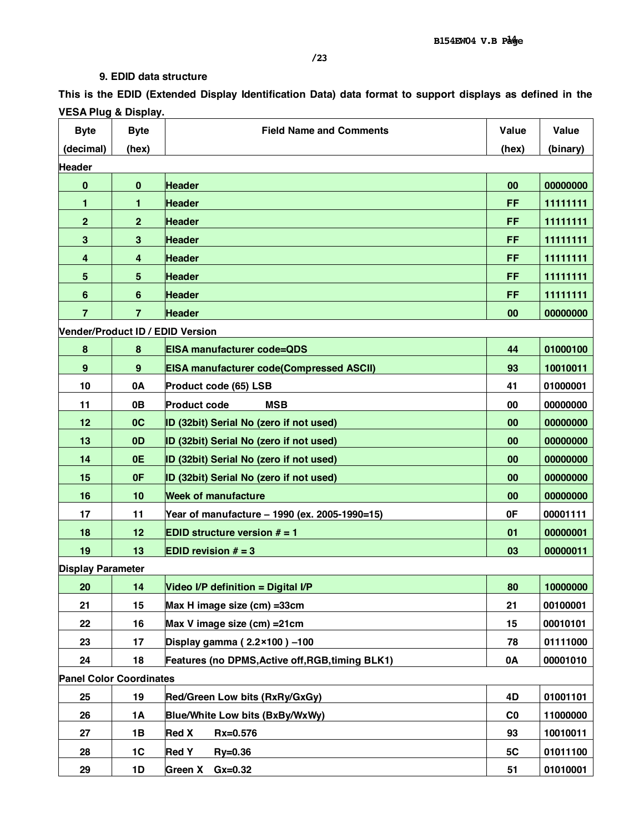# **9. EDID data structure**

This is the EDID (Extended Display Identification Data) data format to support displays as defined in the **VESA Plug & Display.** 

| <b>Byte</b>                      | <b>Byte</b>    | <b>Field Name and Comments</b>                   | Value          | Value    |
|----------------------------------|----------------|--------------------------------------------------|----------------|----------|
| (decimal)                        | (hex)          |                                                  | (hex)          | (binary) |
| <b>Header</b>                    |                |                                                  |                |          |
| $\bf{0}$                         | $\bf{0}$       | <b>Header</b>                                    | 00             | 00000000 |
| 1                                | 1              | <b>Header</b>                                    | FF             | 11111111 |
| $\mathbf{2}$                     | $\overline{2}$ | <b>Header</b>                                    | FF             | 11111111 |
| 3                                | 3              | <b>Header</b>                                    | FF             | 11111111 |
| 4                                | 4              | <b>Header</b>                                    | FF             | 11111111 |
| 5                                | 5              | <b>Header</b>                                    | FF             | 11111111 |
| $6\phantom{1}6$                  | 6              | <b>Header</b>                                    | FF             | 11111111 |
| $\overline{7}$                   | $\overline{7}$ | <b>Header</b>                                    | 00             | 00000000 |
| Vender/Product ID / EDID Version |                |                                                  |                |          |
| $\pmb{8}$                        | 8              | <b>EISA manufacturer code=QDS</b>                | 44             | 01000100 |
| $\boldsymbol{9}$                 | 9              | <b>EISA manufacturer code(Compressed ASCII)</b>  | 93             | 10010011 |
| 10                               | 0A             | Product code (65) LSB                            | 41             | 01000001 |
| 11                               | 0B             | <b>Product code</b><br><b>MSB</b>                | 00             | 00000000 |
| 12                               | 0 <sup>C</sup> | ID (32bit) Serial No (zero if not used)          | 00             | 00000000 |
| 13                               | 0 <sub>D</sub> | ID (32bit) Serial No (zero if not used)          | 00             | 00000000 |
| 14                               | 0E             | ID (32bit) Serial No (zero if not used)          | 00             | 00000000 |
| 15                               | 0F             | ID (32bit) Serial No (zero if not used)          | 00             | 00000000 |
| 16                               | 10             | <b>Week of manufacture</b>                       | 00             | 00000000 |
| 17                               | 11             | Year of manufacture - 1990 (ex. 2005-1990=15)    | 0F             | 00001111 |
| 18                               | 12             | <b>EDID structure version <math># = 1</math></b> | 01             | 00000001 |
| 19                               | 13             | <b>EDID revision <math># = 3</math></b>          | 03             | 00000011 |
| <b>Display Parameter</b>         |                |                                                  |                |          |
| 20                               | 14             | Video I/P definition = Digital I/P               | 80             | 10000000 |
| 21                               | 15             | Max H image size (cm) = 33cm                     | 21             | 00100001 |
| 22                               | 16             | Max V image size (cm) = 21 cm                    | 15             | 00010101 |
| 23                               | 17             | Display gamma ( $2.2 \times 100$ ) -100          | 78             | 01111000 |
| 24                               | 18             | Features (no DPMS, Active off, RGB, timing BLK1) | 0A             | 00001010 |
| <b>Panel Color Coordinates</b>   |                |                                                  |                |          |
| 25                               | 19             | Red/Green Low bits (RxRy/GxGy)                   | 4D             | 01001101 |
| 26                               | <b>1A</b>      | Blue/White Low bits (BxBy/WxWy)                  | C <sub>0</sub> | 11000000 |
| 27                               | 1B             | <b>Red X</b><br>Rx=0.576                         | 93             | 10010011 |
| 28                               | 1C             | <b>Red Y</b><br>$Ry = 0.36$                      | 5C             | 01011100 |
| 29                               | 1D             | $Gx=0.32$<br><b>Green X</b>                      | 51             | 01010001 |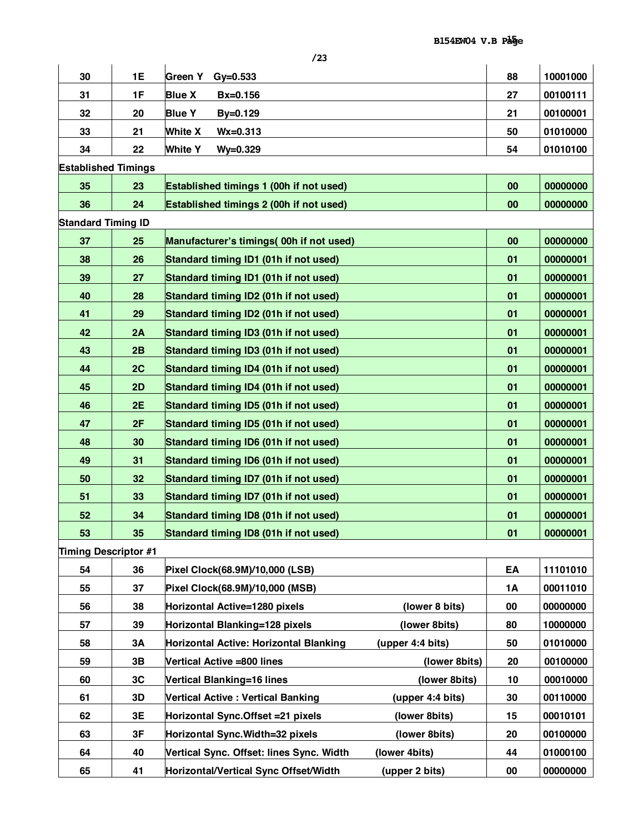| 30                         | 1E | Green Y<br>$Gy = 0.533$                                      | 88 | 10001000 |
|----------------------------|----|--------------------------------------------------------------|----|----------|
| 31                         | 1F | <b>Blue X</b><br>$Bx=0.156$                                  | 27 | 00100111 |
| 32                         | 20 | <b>Blue Y</b><br>By=0.129                                    | 21 | 00100001 |
| 33                         | 21 | <b>White X</b><br>$Wx = 0.313$                               | 50 | 01010000 |
| 34                         | 22 | <b>White Y</b><br>$Wy = 0.329$                               | 54 | 01010100 |
| <b>Established Timings</b> |    |                                                              |    |          |
| 35                         | 23 | Established timings 1 (00h if not used)                      | 00 | 00000000 |
| 36                         | 24 | Established timings 2 (00h if not used)                      | 00 | 00000000 |
| <b>Standard Timing ID</b>  |    |                                                              |    |          |
| 37                         | 25 | Manufacturer's timings( 00h if not used)                     | 00 | 00000000 |
| 38                         | 26 | Standard timing ID1 (01h if not used)                        | 01 | 00000001 |
| 39                         | 27 | Standard timing ID1 (01h if not used)                        | 01 | 00000001 |
| 40                         | 28 | Standard timing ID2 (01h if not used)                        | 01 | 00000001 |
| 41                         | 29 | Standard timing ID2 (01h if not used)                        | 01 | 00000001 |
| 42                         | 2A | Standard timing ID3 (01h if not used)                        | 01 | 00000001 |
| 43                         | 2B | Standard timing ID3 (01h if not used)                        | 01 | 00000001 |
| 44                         | 2C | Standard timing ID4 (01h if not used)                        | 01 | 00000001 |
| 45                         | 2D | Standard timing ID4 (01h if not used)                        | 01 | 00000001 |
| 46                         | 2E | Standard timing ID5 (01h if not used)                        | 01 | 00000001 |
| 47                         | 2F | Standard timing ID5 (01h if not used)                        | 01 | 00000001 |
| 48                         | 30 | Standard timing ID6 (01h if not used)                        | 01 | 00000001 |
| 49                         | 31 | Standard timing ID6 (01h if not used)                        | 01 | 00000001 |
| 50                         | 32 | Standard timing ID7 (01h if not used)                        | 01 | 00000001 |
| 51                         | 33 | Standard timing ID7 (01h if not used)                        | 01 | 00000001 |
| 52                         | 34 | Standard timing ID8 (01h if not used)                        | 01 | 00000001 |
| 53                         | 35 | Standard timing ID8 (01h if not used)                        | 01 | 00000001 |
| Timing Descriptor #1       |    |                                                              |    |          |
| 54                         | 36 | Pixel Clock(68.9M)/10,000 (LSB)                              | EA | 11101010 |
| 55                         | 37 | Pixel Clock(68.9M)/10,000 (MSB)                              | 1A | 00011010 |
| 56                         | 38 | Horizontal Active=1280 pixels<br>(lower 8 bits)              | 00 | 00000000 |
| 57                         | 39 | (lower 8bits)<br>Horizontal Blanking=128 pixels              | 80 | 10000000 |
| 58                         | 3A | (upper 4:4 bits)<br>Horizontal Active: Horizontal Blanking   | 50 | 01010000 |
| 59                         | 3B | (lower 8bits)<br>Vertical Active =800 lines                  | 20 | 00100000 |
| 60                         | 3C | Vertical Blanking=16 lines<br>(lower 8bits)                  | 10 | 00010000 |
| 61                         | 3D | <b>Vertical Active: Vertical Banking</b><br>(upper 4:4 bits) | 30 | 00110000 |
| 62                         | 3E | Horizontal Sync.Offset = 21 pixels<br>(lower 8bits)          | 15 | 00010101 |
| 63                         | 3F | Horizontal Sync. Width=32 pixels<br>(lower 8bits)            | 20 | 00100000 |
| 64                         | 40 | (lower 4bits)<br>Vertical Sync. Offset: lines Sync. Width    | 44 | 01000100 |
| 65                         | 41 | Horizontal/Vertical Sync Offset/Width<br>(upper 2 bits)      | 00 | 00000000 |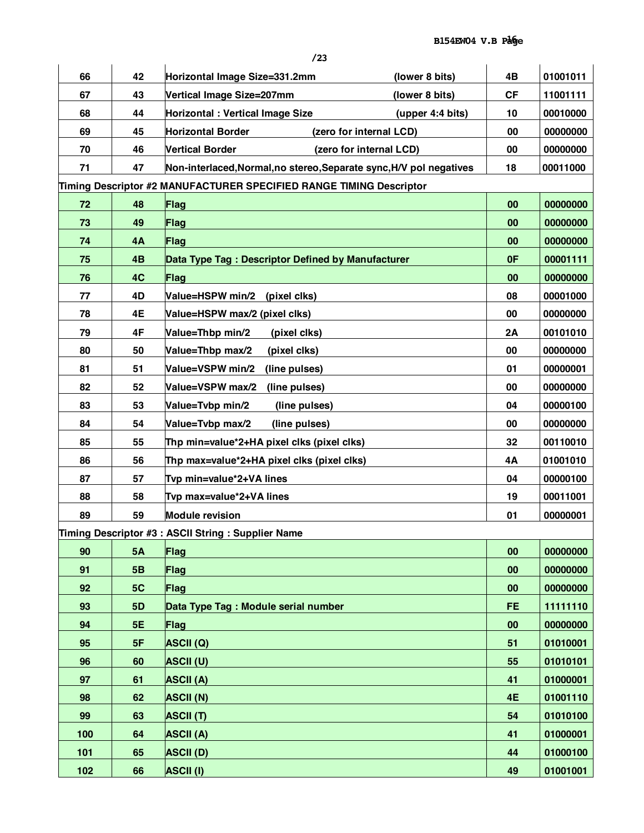| 66  | 42        | Horizontal Image Size=331.2mm<br>(lower 8 bits)                     | 4B        | 01001011 |
|-----|-----------|---------------------------------------------------------------------|-----------|----------|
| 67  | 43        | Vertical Image Size=207mm<br>(lower 8 bits)                         | <b>CF</b> | 11001111 |
| 68  | 44        | Horizontal : Vertical Image Size<br>(upper 4:4 bits)                | 10        | 00010000 |
| 69  | 45        | <b>Horizontal Border</b><br>(zero for internal LCD)                 | 00        | 00000000 |
| 70  | 46        | <b>Vertical Border</b><br>(zero for internal LCD)                   | 00        | 00000000 |
| 71  | 47        | Non-interlaced, Normal, no stereo, Separate sync, H/V pol negatives | 18        | 00011000 |
|     |           | Timing Descriptor #2 MANUFACTURER SPECIFIED RANGE TIMING Descriptor |           |          |
| 72  | 48        | Flag                                                                | 00        | 00000000 |
| 73  | 49        | Flag                                                                | 00        | 00000000 |
| 74  | 4A        | Flag                                                                | 00        | 00000000 |
| 75  | 4B        | Data Type Tag: Descriptor Defined by Manufacturer                   | 0F        | 00001111 |
| 76  | 4C        | Flag                                                                | 00        | 00000000 |
| 77  | 4D        | Value=HSPW min/2 (pixel clks)                                       | 08        | 00001000 |
| 78  | 4E        | Value=HSPW max/2 (pixel clks)                                       | 00        | 00000000 |
| 79  | 4F        | Value=Thbp min/2<br>(pixel clks)                                    | 2Α        | 00101010 |
| 80  | 50        | Value=Thbp max/2<br>(pixel clks)                                    | 00        | 00000000 |
| 81  | 51        | Value=VSPW min/2<br>(line pulses)                                   | 01        | 00000001 |
| 82  | 52        | Value=VSPW max/2<br>(line pulses)                                   | 00        | 00000000 |
| 83  | 53        | Value=Tvbp min/2<br>(line pulses)                                   | 04        | 00000100 |
| 84  | 54        | Value=Tvbp max/2<br>(line pulses)                                   | 00        | 00000000 |
| 85  | 55        | Thp min=value*2+HA pixel clks (pixel clks)                          | 32        | 00110010 |
| 86  | 56        | Thp max=value*2+HA pixel clks (pixel clks)                          | 4A        | 01001010 |
| 87  | 57        | Tvp min=value*2+VA lines                                            | 04        | 00000100 |
| 88  | 58        | Tvp max=value*2+VA lines                                            | 19        | 00011001 |
| 89  | 59        | <b>Module revision</b>                                              | 01        | 00000001 |
|     |           | Timing Descriptor #3 : ASCII String : Supplier Name                 |           |          |
| 90  | <b>5A</b> | Flag                                                                | 00        | 00000000 |
| 91  | 5B        | Flag                                                                | 00        | 00000000 |
| 92  | 5C        | Flag                                                                | 00        | 00000000 |
| 93  | <b>5D</b> | Data Type Tag : Module serial number                                | <b>FE</b> | 11111110 |
| 94  | <b>5E</b> | <b>Flag</b>                                                         | 00        | 00000000 |
| 95  | 5F        | <b>ASCII (Q)</b>                                                    | 51        | 01010001 |
| 96  | 60        | <b>ASCII (U)</b>                                                    | 55        | 01010101 |
| 97  | 61        | <b>ASCII (A)</b>                                                    | 41        | 01000001 |
| 98  | 62        | <b>ASCII (N)</b>                                                    | 4E        | 01001110 |
| 99  | 63        | <b>ASCII (T)</b>                                                    | 54        | 01010100 |
| 100 | 64        | <b>ASCII (A)</b>                                                    | 41        | 01000001 |
| 101 | 65        | <b>ASCII (D)</b>                                                    | 44        | 01000100 |
|     |           |                                                                     |           |          |
| 102 | 66        | <b>ASCII (I)</b>                                                    | 49        | 01001001 |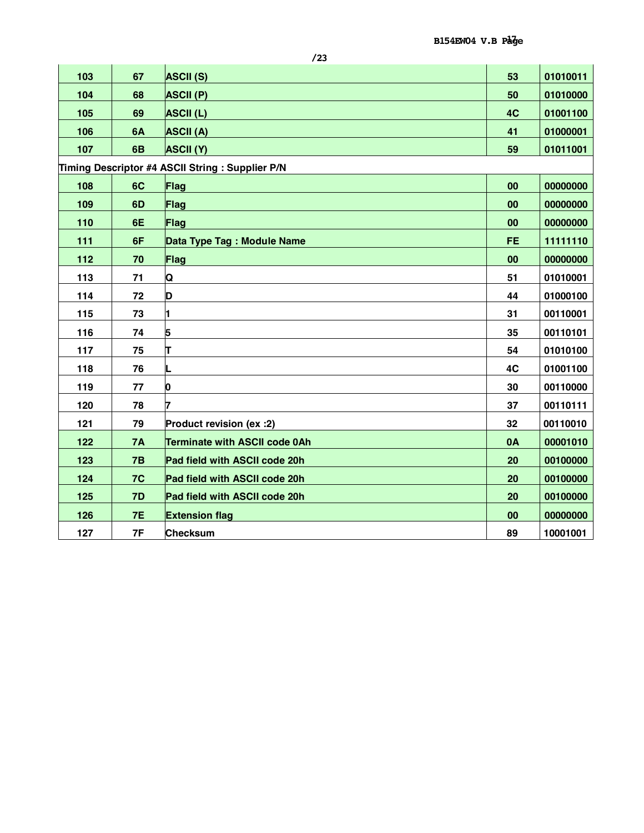| 103 | 67        | <b>ASCII (S)</b>                                | 53        | 01010011 |
|-----|-----------|-------------------------------------------------|-----------|----------|
| 104 | 68        | <b>ASCII (P)</b>                                | 50        | 01010000 |
| 105 | 69        | <b>ASCII (L)</b>                                | 4C        | 01001100 |
| 106 | 6A        | <b>ASCII (A)</b>                                | 41        | 01000001 |
| 107 | 6B        | <b>ASCII (Y)</b>                                | 59        | 01011001 |
|     |           | Timing Descriptor #4 ASCII String: Supplier P/N |           |          |
| 108 | 6C        | Flag                                            | 00        | 00000000 |
| 109 | 6D        | Flag                                            | 00        | 00000000 |
| 110 | 6E        | Flag                                            | 00        | 00000000 |
| 111 | 6F        | Data Type Tag: Module Name                      | <b>FE</b> | 11111110 |
| 112 | 70        | Flag                                            | 00        | 00000000 |
| 113 | 71        | Q                                               | 51        | 01010001 |
| 114 | 72        | D                                               | 44        | 01000100 |
| 115 | 73        | 1                                               | 31        | 00110001 |
| 116 | 74        | 5                                               | 35        | 00110101 |
| 117 | 75        | т                                               | 54        | 01010100 |
| 118 | 76        |                                                 | 4C        |          |
| 119 |           |                                                 | 30        | 01001100 |
|     | 77        | 0                                               |           | 00110000 |
| 120 | 78        |                                                 | 37        | 00110111 |
| 121 | 79        | Product revision (ex :2)                        | 32        | 00110010 |
| 122 | <b>7A</b> | Terminate with ASCII code 0Ah                   | 0A        | 00001010 |
| 123 | 7B        | Pad field with ASCII code 20h                   | 20        | 00100000 |
| 124 | 7C        | Pad field with ASCII code 20h                   | 20        | 00100000 |
| 125 | 7D        | Pad field with ASCII code 20h                   | 20        | 00100000 |
| 126 | 7E        | <b>Extension flag</b>                           | 00        | 00000000 |
| 127 | 7F        | <b>Checksum</b>                                 | 89        | 10001001 |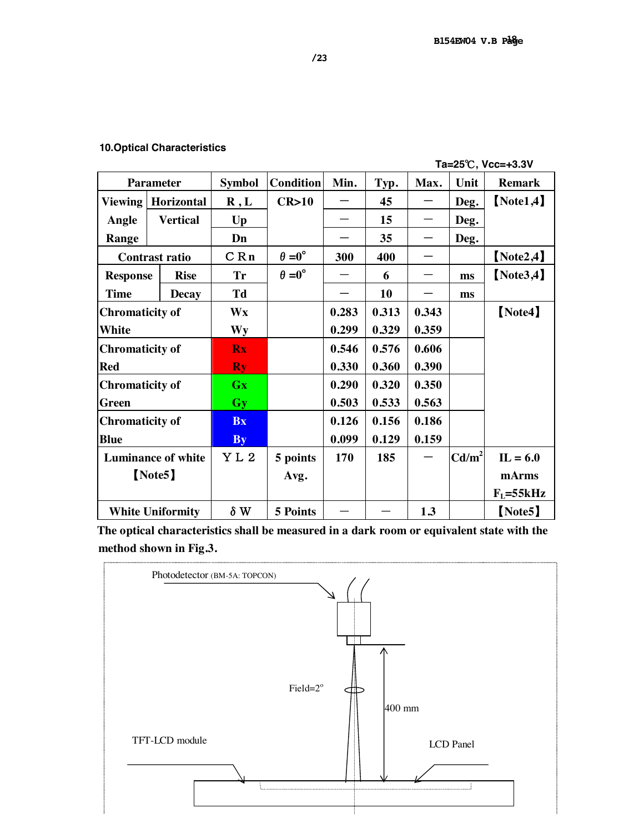## **10.Optical Characteristics**

 **Ta=25**℃**, Vcc=+3.3V** 

|                           | <b>Parameter</b>        | <b>Symbol</b> | <b>Condition</b>     | Min.  | Typ.  | Max.  | Unit            | <b>Remark</b> |
|---------------------------|-------------------------|---------------|----------------------|-------|-------|-------|-----------------|---------------|
| <b>Viewing</b>            | Horizontal              | R, L          | CR>10                |       | 45    |       | Deg.            | [Note1, 4]    |
| Angle                     | <b>Vertical</b>         | $U_{p}$       |                      |       | 15    |       | Deg.            |               |
| Range                     |                         | Dn            |                      |       | 35    |       | Deg.            |               |
|                           | <b>Contrast ratio</b>   | C Rn          | $\theta = 0^{\circ}$ | 300   | 400   |       |                 | [Note2, 4]    |
| <b>Response</b>           | <b>Rise</b>             | <b>Tr</b>     | $\theta = 0^{\circ}$ |       | 6     |       | ms              | [Note3, 4]    |
| <b>Time</b>               | <b>Decay</b>            | Td            |                      |       | 10    |       | ms              |               |
| <b>Chromaticity of</b>    |                         | Wx            |                      | 0.283 | 0.313 | 0.343 |                 | [Note4]       |
| <b>White</b>              |                         | <b>Wy</b>     |                      | 0.299 | 0.329 | 0.359 |                 |               |
| <b>Chromaticity of</b>    |                         | <b>Rx</b>     |                      | 0.546 | 0.576 | 0.606 |                 |               |
| <b>Red</b>                |                         | <b>Ry</b>     |                      | 0.330 | 0.360 | 0.390 |                 |               |
| <b>Chromaticity of</b>    |                         | Gx            |                      | 0.290 | 0.320 | 0.350 |                 |               |
| Green                     |                         | <b>Gy</b>     |                      | 0.503 | 0.533 | 0.563 |                 |               |
| <b>Chromaticity of</b>    |                         | <b>Bx</b>     |                      | 0.126 | 0.156 | 0.186 |                 |               |
| <b>Blue</b>               |                         | <b>By</b>     |                      | 0.099 | 0.129 | 0.159 |                 |               |
| <b>Luminance of white</b> |                         | YL2           | 5 points             | 170   | 185   |       | $\text{Cd/m}^2$ | $IL = 6.0$    |
| [Note5]                   |                         |               | Avg.                 |       |       |       |                 | mArms         |
|                           |                         |               |                      |       |       |       |                 | $F_L = 55kHz$ |
|                           | <b>White Uniformity</b> | $\delta W$    | 5 Points             |       |       | 1.3   |                 | [Note5]       |

**The optical characteristics shall be measured in a dark room or equivalent state with the method shown in Fig.3.** 

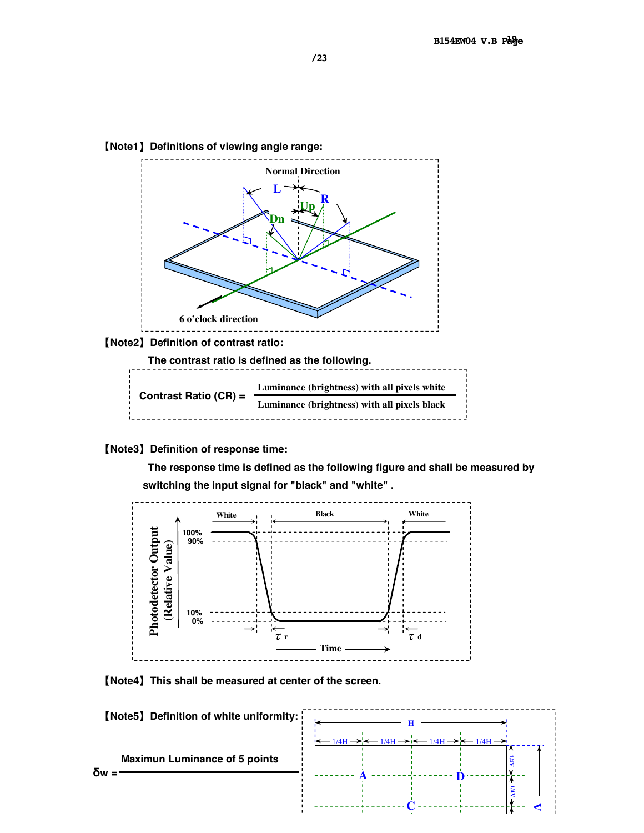

#### 【**Note3**】**Definition of response time:**

 **The response time is defined as the following figure and shall be measured by switching the input signal for "black" and "white" .** 



【**Note4**】**This shall be measured at center of the screen.** 

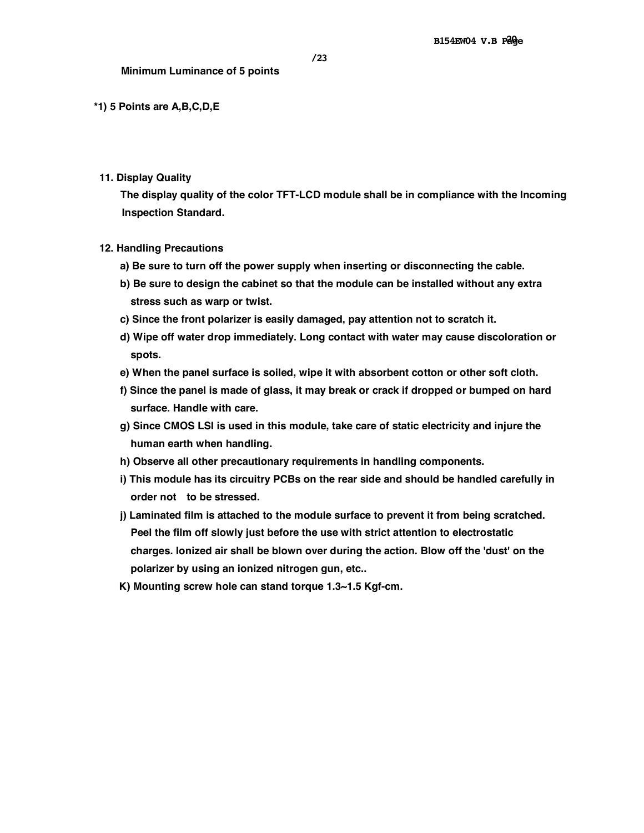#### **\*1) 5 Points are A,B,C,D,E**

**11. Display Quality** 

**The display quality of the color TFT-LCD module shall be in compliance with the Incoming Inspection Standard.** 

- **12. Handling Precautions** 
	- **a) Be sure to turn off the power supply when inserting or disconnecting the cable.**
	- **b) Be sure to design the cabinet so that the module can be installed without any extra stress such as warp or twist.**
	- **c) Since the front polarizer is easily damaged, pay attention not to scratch it.**
	- **d) Wipe off water drop immediately. Long contact with water may cause discoloration or spots.**
	- **e) When the panel surface is soiled, wipe it with absorbent cotton or other soft cloth.**
	- **f) Since the panel is made of glass, it may break or crack if dropped or bumped on hard surface. Handle with care.**
	- **g) Since CMOS LSI is used in this module, take care of static electricity and injure the human earth when handling.**
	- **h) Observe all other precautionary requirements in handling components.**
	- **i) This module has its circuitry PCBs on the rear side and should be handled carefully in order not to be stressed.**
	- **j) Laminated film is attached to the module surface to prevent it from being scratched. Peel the film off slowly just before the use with strict attention to electrostatic charges. Ionized air shall be blown over during the action. Blow off the 'dust' on the polarizer by using an ionized nitrogen gun, etc..**
	- **K) Mounting screw hole can stand torque 1.3~1.5 Kgf-cm.**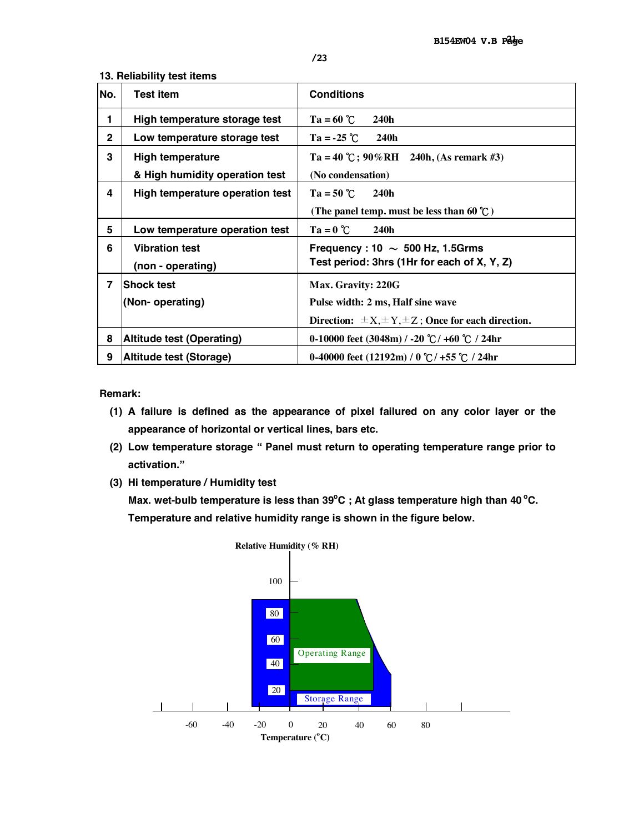| No.            | Test item                       | <b>Conditions</b>                                           |
|----------------|---------------------------------|-------------------------------------------------------------|
| 1              | High temperature storage test   | $Ta = 60 °C$<br>240h                                        |
| $\mathbf{2}$   | Low temperature storage test    | $Ta = -25$ °C<br>240h                                       |
| 3              | <b>High temperature</b>         | Ta = 40 °C; 90%RH 240h, (As remark #3)                      |
|                | & High humidity operation test  | (No condensation)                                           |
| 4              | High temperature operation test | $Ta = 50 °C$<br>240h                                        |
|                |                                 | (The panel temp. must be less than 60 $\degree$ C)          |
| 5              | Low temperature operation test  | $Ta = 0$ $C$<br>240h                                        |
| 6              | <b>Vibration test</b>           | Frequency : 10 $\sim$ 500 Hz, 1.5Grms                       |
|                | (non - operating)               | Test period: 3hrs (1Hr for each of X, Y, Z)                 |
| $\overline{7}$ | <b>Shock test</b>               | Max. Gravity: 220G                                          |
|                | (Non-operating)                 | Pulse width: 2 ms, Half sine wave                           |
|                |                                 | Direction: $\pm X, \pm Y, \pm Z$ ; Once for each direction. |
| 8              | Altitude test (Operating)       | 0-10000 feet (3048m) / -20 ℃/ +60 ℃ / 24hr                  |
| 9              | Altitude test (Storage)         | 0-40000 feet $(12192m) / 0$ °C / +55 °C / 24hr              |

#### **13. Reliability test items**

**Remark:** 

- **(1) A failure is defined as the appearance of pixel failured on any color layer or the appearance of horizontal or vertical lines, bars etc.**
- **(2) Low temperature storage " Panel must return to operating temperature range prior to activation."**
- **(3) Hi temperature / Humidity test**

**Max.** wet-bulb temperature is less than 39°C ; At glass temperature high than 40 °C. **Temperature and relative humidity range is shown in the figure below.** 

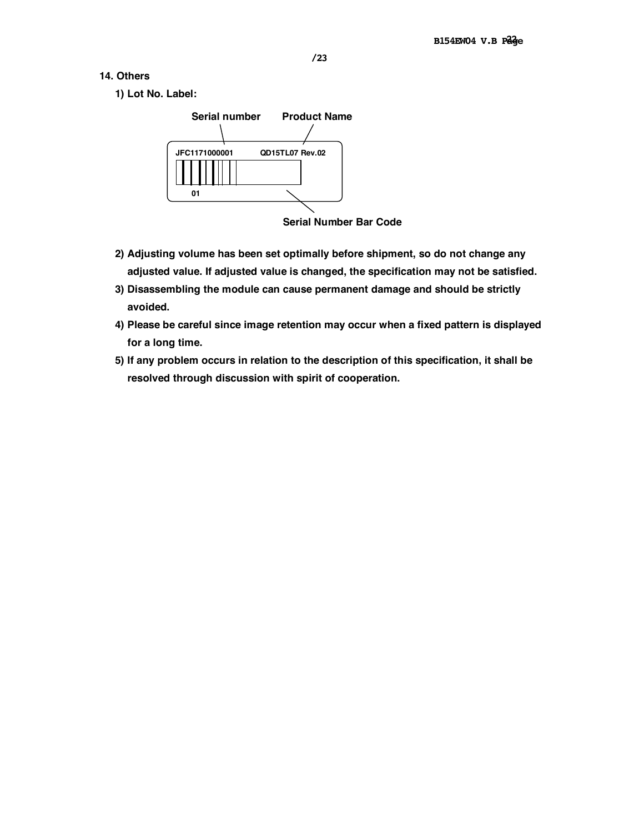- **14. Others** 
	- **1) Lot No. Label:**



**Serial Number Bar Code**

- **2) Adjusting volume has been set optimally before shipment, so do not change any adjusted value. If adjusted value is changed, the specification may not be satisfied.**
- **3) Disassembling the module can cause permanent damage and should be strictly avoided.**
- **4) Please be careful since image retention may occur when a fixed pattern is displayed for a long time.**
- **5) If any problem occurs in relation to the description of this specification, it shall be resolved through discussion with spirit of cooperation.**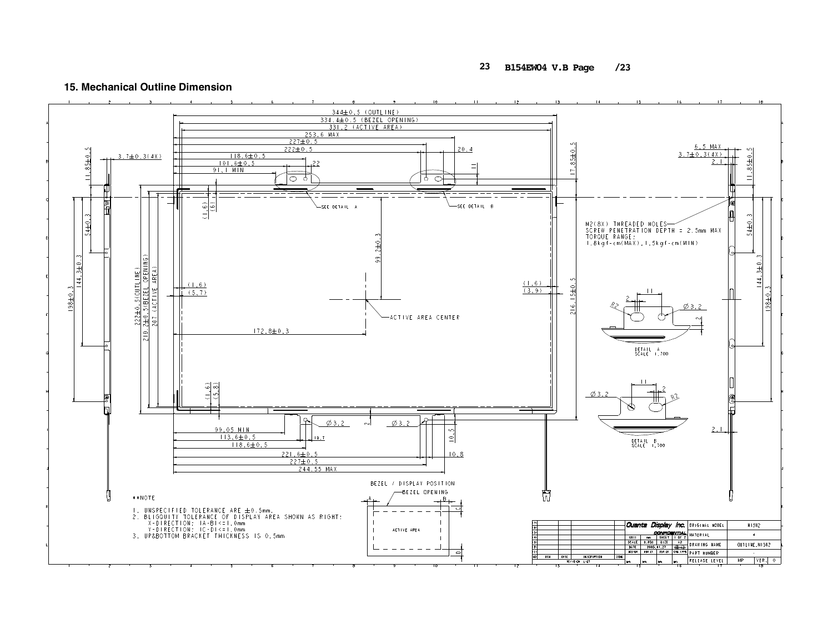#### **23** B154EW04 V.B Page /23

#### 15. Mechanical Outline Dimension